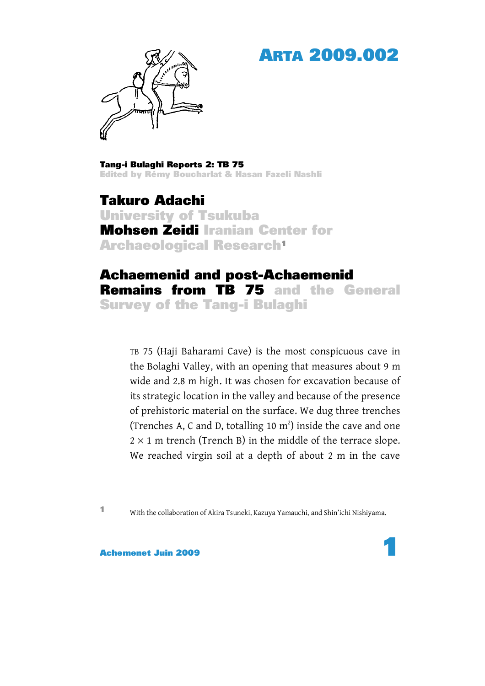## ARTA 2009.002



Tang-i Bulaghi Reports 2: TB 75 Edited by Rémy Boucharlat & Hasan Fazeli Nashli

Takuro Adachi University of Tsukuba Mohsen Zeidi Iranian Center for Archaeological Research1

## Achaemenid and post-Achaemenid Remains from TB 75 and the General Survey of the Tang-i Bulaghi

TB 75 (Haji Baharami Cave) is the most conspicuous cave in the Bolaghi Valley, with an opening that measures about 9 m wide and 2.8 m high. It was chosen for excavation because of its strategic location in the valley and because of the presence of prehistoric material on the surface. We dug three trenches (Trenches A, C and D, totalling 10  $m<sup>2</sup>$ ) inside the cave and one  $2 \times 1$  m trench (Trench B) in the middle of the terrace slope. We reached virgin soil at a depth of about 2 m in the cave

<sup>1</sup> With the collaboration of Akira Tsuneki, Kazuya Yamauchi, and Shin'ichi Nishiyama.

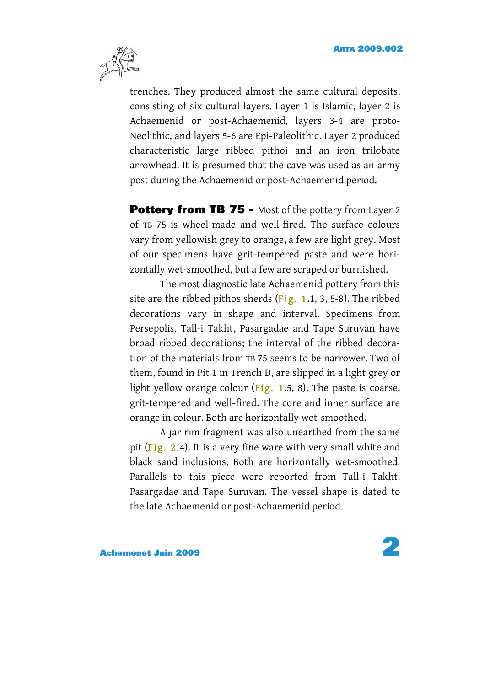

trenches. They produced almost the same cultural deposits, consisting of six cultural layers. Layer 1 is Islamic, layer 2 is Achaemenid or post-Achaemenid, layers 3-4 are proto-Neolithic, and layers 5-6 are Epi-Paleolithic. Layer 2 produced characteristic large ribbed pithoi and an iron trilobate arrowhead. It is presumed that the cave was used as an army post during the Achaemenid or post-Achaemenid period.

**Pottery from TB 75 -** Most of the pottery from Layer 2 of TB 75 is wheel-made and well-fired. The surface colours vary from yellowish grey to orange, a few are light grey. Most of our specimens have grit-tempered paste and were horizontally wet-smoothed, but a few are scraped or burnished.

The most diagnostic late Achaemenid pottery from this site are the ribbed pithos sherds  $(Fig, 1.1, 3, 5-8)$ . The ribbed decorations vary in shape and interval. Specimens from Persepolis, Tall-i Takht, Pasargadae and Tape Suruvan have broad ribbed decorations; the interval of the ribbed decoration of the materials from TB 75 seems to be narrower. Two of them, found in Pit 1 in Trench D, are slipped in a light grey or light yellow orange colour  $(Fig. 1.5, 8)$  $(Fig. 1.5, 8)$ . The paste is coarse, grit-tempered and well-fired. The core and inner surface are orange in colour. Both are horizontally wet-smoothed.

A jar rim fragment was also unearthed from the same pit  $(Fig. 2.4)$  $(Fig. 2.4)$ . It is a very fine ware with very small white and black sand inclusions. Both are horizontally wet-smoothed. Parallels to this piece were reported from Tall-i Takht, Pasargadae and Tape Suruvan. The vessel shape is dated to the late Achaemenid or post-Achaemenid period.

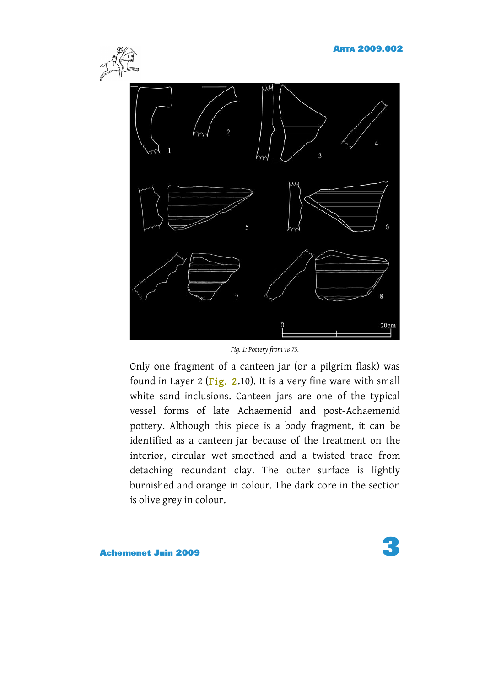<span id="page-2-0"></span>

*Fig. 1: Pottery from TB 75.*

Only one fragment of a canteen jar (or a pilgrim flask) was found in Layer 2 ( $Fig. 2.10$ ). It is a very fine ware with small white sand inclusions. Canteen jars are one of the typical vessel forms of late Achaemenid and post-Achaemenid pottery. Although this piece is a body fragment, it can be identified as a canteen jar because of the treatment on the interior, circular wet-smoothed and a twisted trace from detaching redundant clay. The outer surface is lightly burnished and orange in colour. The dark core in the section is olive grey in colour.

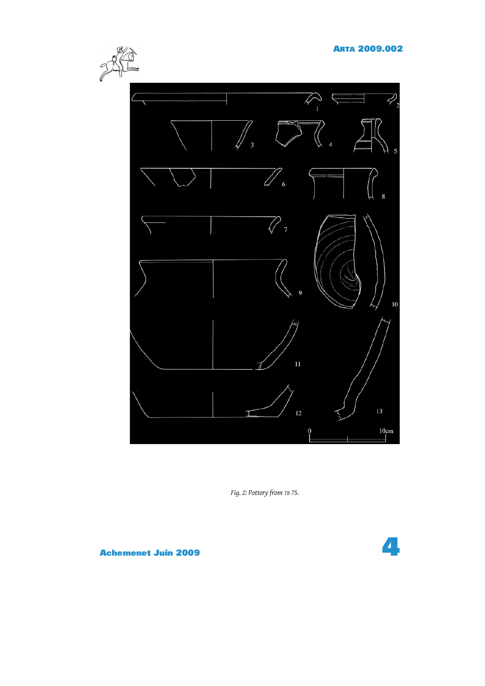<span id="page-3-0"></span>

*Fig. 2: Pottery from TB 75.*

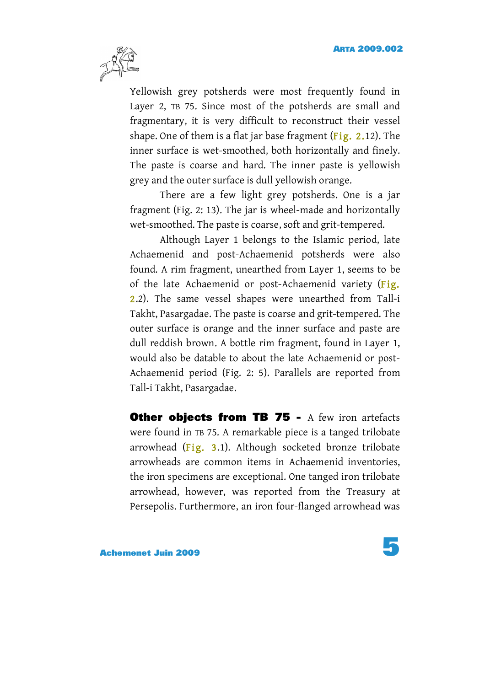

Yellowish grey potsherds were most frequently found in Layer 2, TB 75. Since most of the potsherds are small and fragmentary, it is very difficult to reconstruct their vessel shape. One of them is a flat jar base fragment (Fig.  $2.12$ ). The inner surface is wet-smoothed, both horizontally and finely. The paste is coarse and hard. The inner paste is yellowish grey and the outer surface is dull yellowish orange.

There are a few light grey potsherds. One is a jar fragment [\(Fig. 2: 13\)](#page-3-0). The jar is wheel-made and horizontally wet-smoothed. The paste is coarse, soft and grit-tempered.

Although Layer 1 belongs to the Islamic period, late Achaemenid and post-Achaemenid potsherds were also found. A rim fragment, unearthed from Layer 1, seems to be of the late Achaemenid or post-Achaemenid variety [\(Fig.](#page-3-0)  [2.2\).](#page-3-0) The same vessel shapes were unearthed from Tall-i Takht, Pasargadae. The paste is coarse and grit-tempered. The outer surface is orange and the inner surface and paste are dull reddish brown. A bottle rim fragment, found in Layer 1, would also be datable to about the late Achaemenid or post-Achaemenid period (Fig. 2: 5). Parallels are reported from Tall-i Takht, Pasargadae.

**Other objects from TB 75 - A few iron artefacts** were found in TB 75. A remarkable piece is a tanged trilobate arrowhead  $(Fig. 3.1)$ . Although socketed bronze trilobate arrowheads are common items in Achaemenid inventories, the iron specimens are exceptional. One tanged iron trilobate arrowhead, however, was reported from the Treasury at Persepolis. Furthermore, an iron four-flanged arrowhead was

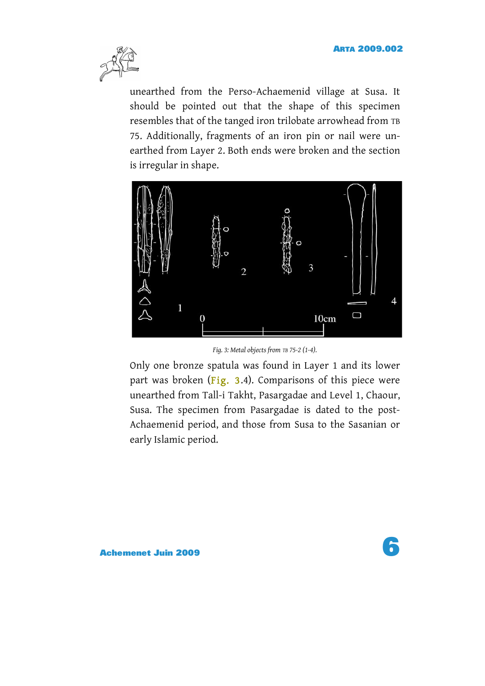<span id="page-5-0"></span>

unearthed from the Perso-Achaemenid village at Susa. It should be pointed out that the shape of this specimen resembles that of the tanged iron trilobate arrowhead from TB 75. Additionally, fragments of an iron pin or nail were unearthed from Layer 2. Both ends were broken and the section is irregular in shape.



*Fig. 3: Metal objects from TB 75-2 (1-4).*

Only one bronze spatula was found in Layer 1 and its lower part was broken (Fig. 3.4). Comparisons of this piece were unearthed from Tall-i Takht, Pasargadae and Level 1, Chaour, Susa. The specimen from Pasargadae is dated to the post-Achaemenid period, and those from Susa to the Sasanian or early Islamic period.

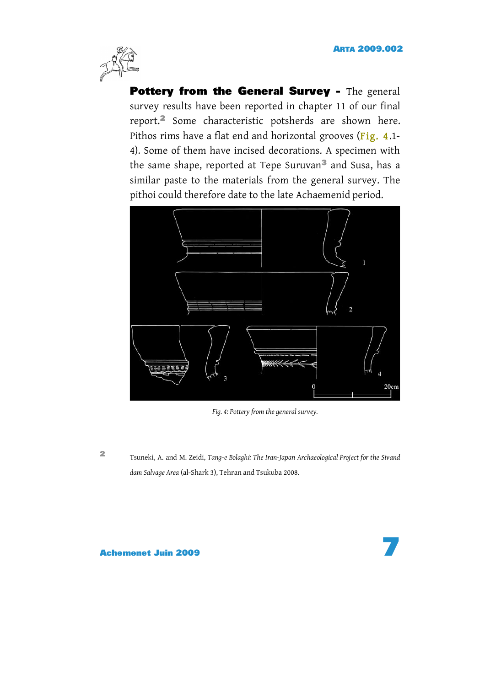

Pottery from the General Survey - The general survey results have been reported in chapter 11 of our final report.2 Some characteristic potsherds are shown here. Pithos rims have a flat end and horizontal grooves (Fig. 4.1-4). Some of them have incised decorations. A specimen with the same shape, reported at Tepe Suruvan<sup>3</sup> and Susa, has a similar paste to the materials from the general survey. The pithoi could therefore date to the late Achaemenid period.



*Fig. 4: Pottery from the general survey.*

<sup>2</sup> Tsuneki, A. and M. Zeidi, *Tang-e Bolaghi: The Iran-Japan Archaeological Project for the Sivand dam Salvage Area* (al-Shark 3), Tehran and Tsukuba 2008.